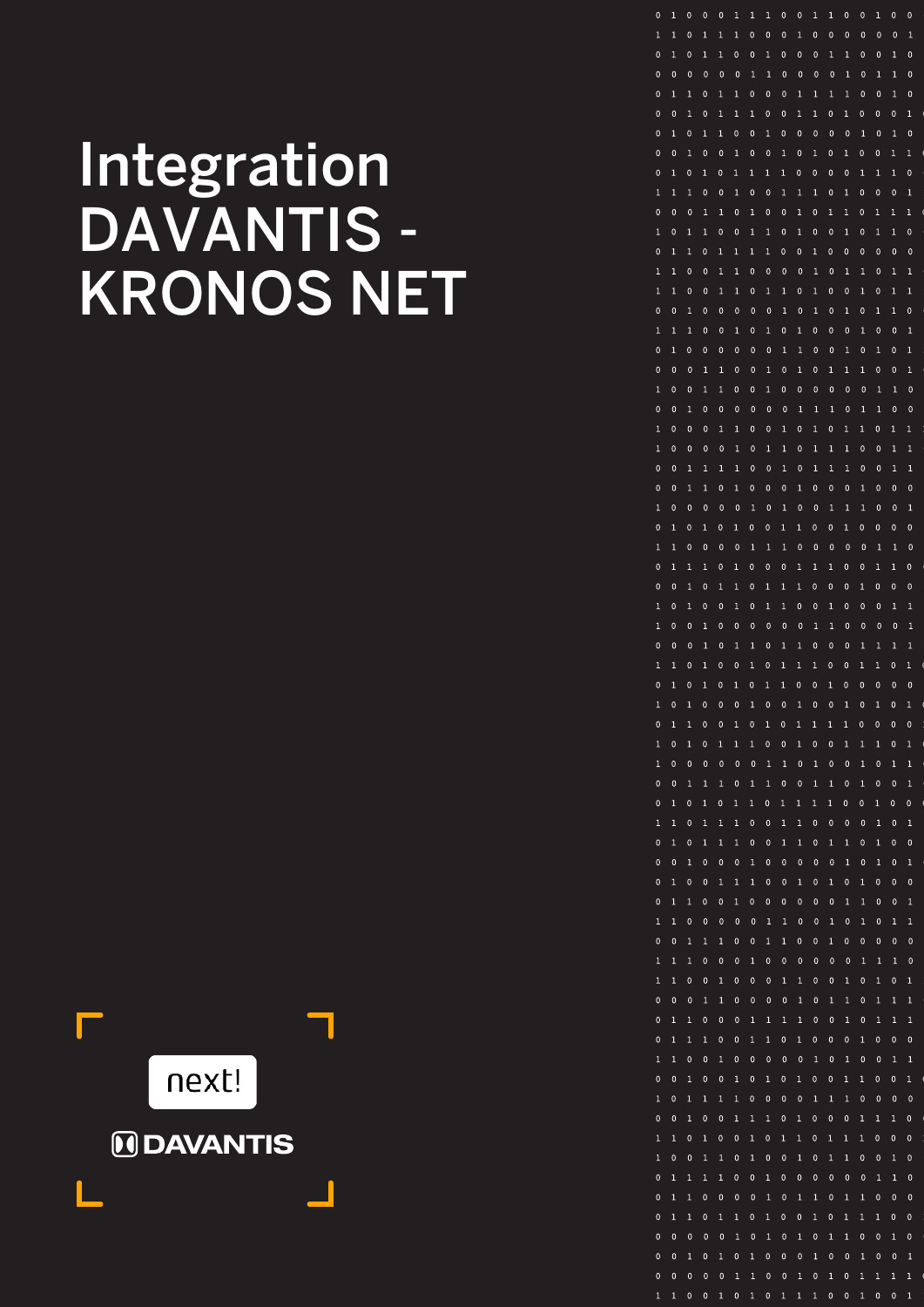# Integration DAVANTIS - KRONOS NET



| 0            | $\mathbf{1}$ | 0            | 0            | $\mathbf{0}$   | 1            | 1            | $\mathbf{1}$ | $\mathbf{0}$ | $\mathbf 0$    | 1            | $\mathbf{1}$ | $\mathbf{0}$ | 0            | 1            | 0            | 0            |
|--------------|--------------|--------------|--------------|----------------|--------------|--------------|--------------|--------------|----------------|--------------|--------------|--------------|--------------|--------------|--------------|--------------|
| $\mathbf{1}$ | $\mathbf{1}$ | 0            | $\mathbf{1}$ | $\mathbf{1}$   | 1            | 0            | 0            | 0            | $\mathbf{1}$   | 0            | 0            | 0            | 0            | 0            | $\pmb{0}$    | $\mathbf{1}$ |
| 0            | $\mathbf{1}$ | 0            | $\mathbf{1}$ | $\mathbf{1}$   | 0            | 0            | $\mathbf{1}$ | 0            | $\mathbf{0}$   | 0            | $\mathbf{1}$ | $\mathbf{1}$ | 0            | 0            | 1            | 0            |
| 0            | $\mathbf{0}$ | $\mathbf 0$  | $\mathbf{0}$ | $\pmb{0}$      | $\mathbf{0}$ | $\mathbf{1}$ | $\mathbf{1}$ | $\mathbf{0}$ | $\mathbf 0$    | $\mathbf{0}$ | $\mathbf{0}$ | $\mathbf{1}$ | 0            | $\mathbf{1}$ | $\mathbf{1}$ | $\mathbf{0}$ |
| 0            | $\mathbf{1}$ | $\,1$        | 0            | $\mathbf{1}$   | $\mathbf{1}$ | 0            | $\pmb{0}$    | 0            | $\mathbf{1}$   | $\mathbf{1}$ | $\mathbf 1$  | $\mathbf 1$  | 0            | 0            | $\mathbf{1}$ | 0            |
| 0            | $\mathbf{0}$ | $\mathbf{1}$ | 0            | $\mathbf{1}$   | $\mathbf{1}$ | $\mathbf{1}$ | 0            | 0            | $\mathbf{1}$   | $\mathbf{1}$ | 0            | $\mathbf{1}$ | 0            | 0            | 0            | $\mathbf{1}$ |
| 0            | $\mathbf{1}$ | 0            | $\mathbf{1}$ | $\mathbf{1}$   | 0            | 0            | $\mathbf{1}$ | 0            | $\mathbf{0}$   | 0            | $\mathbf 0$  | 0            | $\mathbf{1}$ | 0            | $\mathbf{1}$ | $\mathbf{0}$ |
| 0            | 0            | 1            | 0            | $\mathbf{0}$   | $\mathbf{1}$ | 0            | 0            | $\mathbf{1}$ | 0              | $\mathbf{1}$ | 0            | $\mathbf{1}$ | 0            | 0            | $\mathbf{1}$ | $\mathbf{1}$ |
| 0            | $\mathbf{1}$ | 0            | $\mathbf{1}$ | 0              | 1            | 1            | 1            | 1            | 0              | 0            | 0            | 0            | $\mathbf{1}$ | 1            | 1            | $\mathbf 0$  |
| $\mathbf{1}$ | $\mathbf{1}$ | $\mathbf{1}$ | 0            | 0              | $\mathbf{1}$ | 0            | 0            | $\mathbf{1}$ | $\mathbf{1}$   | $\mathbf{1}$ | 0            | $\mathbf{1}$ | 0            | 0            | 0            | $\mathbf{1}$ |
| 0            | 0            | 0            | $\mathbf{1}$ | $\mathbf{1}$   | 0            | $\mathbf{1}$ | 0            | 0            | $\mathbf{1}$   | 0            | $\mathbf{1}$ | $\mathbf{1}$ | 0            | 1            | 1            | $\mathbf{1}$ |
| $\mathbf 1$  | 0            | 1            | $\mathbf{1}$ | 0              | 0            | $\mathbf{1}$ | $\mathbf{1}$ | 0            | $\mathbf{1}$   | 0            | $\mathbf{0}$ | $\mathbf{1}$ | 0            | 1            | $\mathbf{1}$ | 0            |
| 0            | $\mathbf{1}$ | $\mathbf{1}$ | 0            | 1              | $\mathbf{1}$ | $\mathbf{1}$ | $\mathbf{1}$ | $\pmb{0}$    | 0              | $\mathbf{1}$ | $\pmb{0}$    | 0            | 0            | 0            | 0            | $\mathbf 0$  |
| $\mathbf 1$  | $\mathbf 1$  | 0            | 0            | $\mathbf{1}$   | 1            | 0            | 0            | 0            | 0              | $\mathbf{1}$ | $\mathbf{0}$ | $\mathbf{1}$ | $\mathbf 1$  | 0            | $\mathbf{1}$ | $\mathbf{1}$ |
| $\mathbf{1}$ | $\mathbf{1}$ | 0            | 0            | $\mathbf{1}$   | $\mathbf{1}$ | 0            | 1            | $\mathbf{1}$ | 0              | $\mathbf{1}$ | 0            | 0            | $\mathbf{1}$ | 0            | 1            | $\mathbf{1}$ |
| 0            | 0            | 1            | 0            | 0              | 0            | 0            | 0            | $\mathbf 1$  | 0              | $\mathbf{1}$ | 0            | $\mathbf{1}$ | 0            | $\mathbf{1}$ | $\mathbf{1}$ | $\mathbf 0$  |
| $\mathbf{1}$ | $\mathbf 1$  | $\mathbf{1}$ | $\mathbf{0}$ | 0              | $\mathbf{1}$ | 0            | $\mathbf{1}$ | 0            | $\mathbf{1}$   | 0            | $\mathbf 0$  | 0            | $\mathbf{1}$ | 0            | 0            | $\mathbf{1}$ |
| 0            | $\mathbf{1}$ | 0            | 0            | 0              | 0            | $\mathbf{0}$ | $\mathbf 0$  | $\mathbf 1$  | $\mathbf{1}$   | 0            | 0            | 1            | 0            | $\mathbf{1}$ | 0            | $\mathbf{1}$ |
| 0            | $\mathbf{0}$ | 0            | $\mathbf{1}$ | $\overline{1}$ | 0            | 0            | $\mathbf{1}$ | 0            | $\mathbf{1}$   | $\pmb{0}$    | $\mathbf{1}$ | $\mathbf{1}$ | $\mathbf{1}$ | 0            | 0            | $\mathbf{1}$ |
| $\mathbf 1$  | 0            | 0            | $\mathbf 1$  | $\mathbf{1}$   | 0            | 0            | $\mathbf{1}$ | 0            | 0              | 0            | $\mathbf 0$  | 0            | 0            | $\mathbf{1}$ | $\mathbf 1$  | 0            |
| 0            | $\mathbf{0}$ | $\mathbf{1}$ | 0            | $\mathbf{0}$   | 0            | $\mathbf{0}$ | $\mathbf{0}$ | $\mathbf{0}$ | $\mathbf{1}$   | $\mathbf 1$  | $\mathbf 1$  | 0            | $\mathbf{1}$ | $\mathbf{1}$ | $\pmb{0}$    | $\mathbf{0}$ |
| $\mathbf 1$  | 0            | 0            | 0            | 1              | $\mathbf{1}$ | 0            | 0            | $\mathbf{1}$ | 0              | $\mathbf 1$  | 0            | $\mathbf{1}$ | $\mathbf 1$  | 0            | 1            | $\mathbf{1}$ |
| $\mathbf{1}$ | 0            | 0            | 0            | 0              | $\mathbf 1$  | 0            | $\mathbf{1}$ | $\mathbf{1}$ | 0              | $\mathbf{1}$ | $\mathbf{1}$ | $\mathbf{1}$ | 0            | 0            | $\mathbf{1}$ | $\mathbf{1}$ |
| 0            | $\mathbf 0$  | $\mathbf{1}$ | $\mathbf{1}$ | $\mathbf{1}$   | $\mathbf{1}$ | 0            | 0            | $\mathbf{1}$ | 0              | $\mathbf{1}$ | $\mathbf{1}$ | $\mathbf 1$  | 0            | 0            | $\mathbf{1}$ | $\mathbf{1}$ |
| $\mathbf 0$  | $\mathbf{0}$ | $\mathbf{1}$ | $\mathbf{1}$ | 0              | 1            | 0            | 0            | $\mathbf 0$  | $\mathbf{1}$   | 0            | 0            | 0            | $\mathbf{1}$ | 0            | 0            | $\mathbf 0$  |
| $\mathbf 1$  | 0            | $\mathbf{0}$ | 0            | 0              | 0            | $\mathbf{1}$ | $\mathbf{0}$ | $\mathbf{1}$ | $\mathbf{0}$   | 0            | $\mathbf{1}$ | $\mathbf{1}$ | $\mathbf{1}$ | 0            | 0            | $\mathbf{1}$ |
| 0            | $\mathbf{1}$ | 0            | $\mathbf{1}$ | 0              | 1            | 0            | 0            | $\mathbf{1}$ | $\mathbf{1}$   | 0            | 0            | $\mathbf{1}$ | 0            | 0            | 0            | 0            |
| $\mathbf{1}$ | $\mathbf 1$  | 0            | 0            | 0              | 0            | 1            | $\mathbf{1}$ | $\mathbf 1$  | 0              | $\mathbf{0}$ | 0            | 0            | 0            | $\mathbf{1}$ | $\mathbf 1$  | $\mathbf 0$  |
| 0            | $\mathbf{1}$ | $\mathbf{1}$ | $\mathbf{1}$ | 0              | 1            | 0            | 0            | 0            | $\mathbf{1}$   | $\mathbf{1}$ | $\mathbf 1$  | 0            | 0            | $\mathbf 1$  | $\,1$        | 0            |
| 0            | $\mathbf{0}$ | $\mathbf{1}$ | 0            | $\mathbf{1}$   | $\mathbf{1}$ | 0            | 1            | $\mathbf{1}$ | $\mathbf{1}$   | $\pmb{0}$    | 0            | 0            | $\mathbf{1}$ | 0            | 0            | 0            |
| $\mathbf{1}$ | 0            | $\mathbf{1}$ | 0            | 0              | 1            | 0            | $\mathbf{1}$ | $\mathbf{1}$ | 0              | $\mathbf 0$  | $\mathbf{1}$ | 0            | 0            | 0            | 1            | $\mathbf{1}$ |
| $\mathbf{1}$ | $\mathbf 0$  | 0            | $\mathbf{1}$ | 0              | 0            | 0            | 0            | $\mathbf{0}$ | 0              | $\mathbf{1}$ | $\mathbf{1}$ | 0            | 0            | 0            | 0            | $\mathbf{1}$ |
| $\mathbf{0}$ | 0            | 0            | $\mathbf{1}$ | $\mathbf 0$    | 1            | $\mathbf{1}$ | 0            | 1            | $\mathbf{1}$   | 0            | $\mathbf 0$  | 0            | $\mathbf{1}$ | 1            | $\mathbf{1}$ | $\mathbf{1}$ |
| $\mathbf 1$  | $\mathbf{1}$ | 0            | $\mathbf{1}$ | 0              | 0            | $\mathbf{1}$ | 0            | $\mathbf{1}$ | $\mathbf{1}$   | $\mathbf{1}$ | 0            | 0            | $\mathbf{1}$ | $\mathbf{1}$ | 0            | $\mathbf{1}$ |
| 0            | $\mathbf{1}$ | 0            | $\mathbf{1}$ | 0              | $\mathbf{1}$ | 0            | $\mathbf{1}$ | $\mathbf{1}$ | 0              | $\mathbf 0$  | $\mathbf{1}$ | 0            | 0            | 0            | 0            | $\mathbf{0}$ |
| $\mathbf{1}$ | 0            | $\mathbf{1}$ | 0            | 0              | 0            | $\mathbf{1}$ | 0            | 0            | $\mathbf{1}$   | 0            | $\mathbf 0$  | $\mathbf{1}$ | 0            | $\mathbf{1}$ | 0            | $\mathbf{1}$ |
| 0            | $\mathbf{1}$ | $\mathbf{1}$ | 0            | 0              | $\mathbf{1}$ | 0            | $\mathbf{1}$ | 0            | $\mathbf{1}$   | $\mathbf{1}$ | $\mathbf{1}$ | $\mathbf{1}$ | 0            | 0            | 0            | 0            |
| $\mathbf{1}$ | 0            | $\mathbf{1}$ | $\mathbf 0$  | 1              | 1            | $\mathbf{1}$ | 0            | 0            | $\mathbf{1}$   | $\mathbf 0$  | $\mathbf 0$  | $\mathbf{1}$ | $\mathbf 1$  | $\mathbf 1$  | 0            | $\mathbf{1}$ |
| $\mathbf 1$  | $\mathbf 0$  | $\pmb{0}$    | $\mathbf 0$  | 0              | 0            | $\mathbf 0$  | $\mathbf{1}$ | $\mathbf{1}$ | $\mathbf{0}$   | $\mathbf{1}$ | 0            | 0            | $\mathbf{1}$ | 0            | $\mathbf{1}$ | $\mathbf{1}$ |
| 0            | $\mathbf 0$  | $\mathbf{1}$ | $\mathbf{1}$ | $\mathbf{1}$   | 0            | $\mathbf{1}$ | $\mathbf{1}$ | $\pmb{0}$    | $\mathbf 0$    | $\mathbf{1}$ | $\mathbf{1}$ | 0            | $\mathbf{1}$ | 0            | 0            | $\mathbf{1}$ |
| 0            | $\mathbf{1}$ | 0            | 1            | 0              | 1            | 1            | 0            | 1            | 1              | $\mathbf{1}$ | $\mathbf{1}$ | 0            | 0            | 1            | 0            | 0            |
| $\mathbf 1$  | $\mathbf{1}$ | 0            | $\mathbf{1}$ | $\mathbf{1}$   | $\mathbf{1}$ | 0            | $\mathbf 0$  | $\mathbf 1$  | $\mathbf{1}$   | $\mathbf{0}$ | $\mathbf 0$  | 0            | $\mathbf{0}$ | 1            | 0            | $\mathbf{1}$ |
| 0            | $\mathbf{1}$ | 0            | $\mathbf{1}$ | $\mathbf{1}$   | $\mathbf{1}$ | 0            | 0            | $\mathbf{1}$ | $\mathbf{1}$   | $\mathbf 0$  | $\mathbf{1}$ | $\mathbf{1}$ | 0            | 1            | 0            | 0            |
| 0            | $\mathbf 0$  | $\mathbf{1}$ | 0            | $\mathbf 0$    | 0            | $\mathbf{1}$ | $\mathbf 0$  | $\mathbf 0$  | $\mathbf{0}$   | $\mathbf 0$  | 0            | $\mathbf{1}$ | $\pmb{0}$    | $\mathbf{1}$ | 0            | $\mathbf{1}$ |
| 0            | $\mathbf{1}$ | 0            | 0            | $\mathbf{1}$   | $\mathbf{1}$ | $\mathbf{1}$ | 0            | $\mathbf 0$  | $\overline{1}$ | 0            | $\mathbf{1}$ | 0            | $\mathbf{1}$ | 0            | 0            | $\mathbf{0}$ |
| 0            | $\mathbf{1}$ | $\mathbf{1}$ | 0            | 0              | $\mathbf{1}$ | 0            | 0            | $\mathbf 0$  | $\mathbf{0}$   | $\pmb{0}$    | 0            | $\mathbf{1}$ | 1            | 0            | 0            | $\mathbf{1}$ |
| $\mathbf 1$  | $\mathbf{1}$ | 0            | $\mathbf 0$  | 0              | $\mathbf 0$  | $\mathbf 0$  | $\mathbf{1}$ | $\mathbf{1}$ | $\mathbf{0}$   | $\mathbf 0$  | $\mathbf{1}$ | 0            | $\mathbf{1}$ | $\mathbf 0$  | $\mathbf{1}$ | $\mathbf{1}$ |
| $\mathbf{0}$ | $\mathbf 0$  | $\mathbf{1}$ | 1            | $\mathbf{1}$   | 0            | 0            | $\mathbf{1}$ | $\mathbf{1}$ | $\mathbf 0$    | $\mathbf{0}$ | $\mathbf{1}$ | $\pmb{0}$    | 0            | 0            | $\mathbf 0$  | 0            |
| $\mathbf 1$  | $\mathbf 1$  | $\mathbf{1}$ | 0            | 0              | 0            | $\mathbf{1}$ | $\mathbf 0$  | 0            | $\mathbf{0}$   | 0            | $\mathbf{0}$ | 0            | $\mathbf 1$  | $\mathbf{1}$ | $\mathbf 1$  | 0            |
| $\mathbf{1}$ | $\mathbf 1$  | 0            | $\pmb{0}$    | $\mathbf{1}$   | 0            | 0            | 0            | $\mathbf{1}$ | $\mathbf{1}$   | 0            | 0            | $\mathbf 1$  | 0            | $\mathbf{1}$ | 0            | 1            |
| 0            | $\mathbf{0}$ | 0            | $\mathbf{1}$ | $\overline{1}$ | 0            | $\mathbf 0$  | $\mathbf{0}$ | $\mathbf 0$  | $\mathbf{1}$   | $\mathbf{0}$ | $\,1$        | $\mathbf{1}$ | 0            | $\mathbf{1}$ | $\mathbf{1}$ | $\mathbf{1}$ |
| 0            | $\mathbf{1}$ | $\mathbf{1}$ | 0            | 0              | 0            | $\mathbf{1}$ | $\mathbf{1}$ | $\mathbf 1$  | $\mathbf 1$    | 0            | 0            | $\mathbf{1}$ | 0            | $\mathbf{1}$ | $\mathbf{1}$ | $\mathbf{1}$ |
| 0            | $\mathbf{1}$ | $\mathbf{1}$ | $\mathbf 1$  | 0              | $\pmb{0}$    | $\mathbf 1$  | $\mathbf{1}$ | 0            | $\mathbf{1}$   | 0            | 0            | 0            | $\mathbf{1}$ | 0            | 0            | 0            |
| $\mathbf{1}$ | $\mathbf 1$  | 0            | 0            | $\mathbf{1}$   | 0            | 0            | 0            | $\mathbf 0$  | $\mathbf 0$    | $\mathbf{1}$ | $\mathbf 0$  | $\mathbf{1}$ | 0            | $\mathbf 0$  | 1            | $\mathbf{1}$ |
| $\mathbf 0$  | $\mathbf 0$  | $\mathbf 1$  | 0            | $\mathbf{0}$   | 1            | 0            | $\mathbf{1}$ | $\mathbf 0$  | $\mathbf{1}$   | $\pmb{0}$    | 0            | 1            | $\mathbf{1}$ | 0            | 0            | $\mathbf{1}$ |
| $\mathbf 1$  | 0            | $\mathbf{1}$ | $\mathbf{1}$ | $\mathbf{1}$   | $\mathbf{1}$ | 0            | 0            | $\mathbf 0$  | $\mathbf{0}$   | $\mathbf{1}$ | $\mathbf{1}$ | $\mathbf{1}$ | $\pmb{0}$    | 0            | $\pmb{0}$    | $\mathbf 0$  |
| $\mathbf 0$  | $\mathbf 0$  | $\mathbf 1$  | 0            | $\mathbf 0$    | $\mathbf{1}$ | $\mathbf{1}$ | $\mathbf 1$  | $\mathbf 0$  | $\mathbf{1}$   | $\mathbf 0$  | 0            | 0            | $\mathbf{1}$ | $\mathbf{1}$ | $\mathbf{1}$ | 0            |
| $\mathbf{1}$ | $\mathbf{1}$ | 0            | $\mathbf{1}$ | 0              | 0            | $\mathbf{1}$ | $\mathbf 0$  | $\mathbf{1}$ | $\mathbf{1}$   | $\mathbf 0$  | $\mathbf 1$  | $\mathbf{1}$ | $\mathbf{1}$ | 0            | 0            | 0            |
| $\mathbf 1$  | $\mathbf 0$  | 0            | 1            | $\mathbf{1}$   | 0            | $\mathbf{1}$ | $\mathbf{0}$ | $\mathbf 0$  | $\mathbf{1}$   | $\mathbf 0$  | $\mathbf 1$  | $\mathbf{1}$ | 0            | 0            | $\mathbf{1}$ | 0            |
| $\mathbf 0$  | $\mathbf{1}$ | $\mathbf{1}$ | $\mathbf{1}$ | $\mathbf{1}$   | 0            | 0            | $\mathbf{1}$ | $\mathbf 0$  | 0              | $\mathbf 0$  | $\mathbf 0$  | $\mathbf{0}$ | 0            | $\mathbf{1}$ | $\mathbf{1}$ | $\mathbf{0}$ |
| 0            | $\mathbf{1}$ | $\mathbf{1}$ | 0            | 0              | 0            | 0            | $\mathbf{1}$ | 0            | $\mathbf{1}$   | $\mathbf{1}$ | 0            | $\mathbf 1$  | $\mathbf{1}$ | 0            | 0            | 0            |
| 0            | $\mathbf{1}$ | $\mathbf 1$  | 0            | $\mathbf{1}$   | $\mathbf 1$  | 0            | $\mathbf{1}$ | $\mathbf 0$  | $\mathbf 0$    | $\mathbf{1}$ | 0            | $\mathbf{1}$ | $\mathbf{1}$ | $\mathbf{1}$ | 0            | 0            |
| $\mathbf 0$  | $\mathbf 0$  | $\mathbf 0$  | $\mathbf 0$  | 0              | $\mathbf{1}$ | $\mathbf 0$  | $\mathbf 1$  | 0            | $\mathbf{1}$   | $\mathbf 0$  | $\,1$        | 1            | 0            | 0            | 1            | 0            |
| 0            | $\mathbf 0$  | $\mathbf{1}$ | 0            | $\mathbf{1}$   | 0            | $\mathbf{1}$ | 0            | $\mathbf 0$  | $\mathbf 0$    | $\mathbf{1}$ | $\mathbf 0$  | 0            | $\mathbf 1$  | 0            | $\pmb{0}$    | $\mathbf 1$  |
| 0            | $\mathbf 0$  | 0            | $\mathbf 0$  | $\mathbf 0$    | $\mathbf 1$  | $\mathbf{1}$ | $\mathbf 0$  | $\mathbf 0$  | $\mathbf{1}$   | $\mathbf 0$  | $\mathbf 1$  | 0            | $\mathbf{1}$ | $\mathbf{1}$ | $\mathbf{1}$ | $\mathbf{1}$ |
| $\mathbf 1$  | $\mathbf{1}$ | 0            | 0            | 1              | 0            | $\mathbf{1}$ | 0            | $\mathbf{1}$ | $\mathbf{1}$   | $\mathbf{1}$ | 0            | 0            | $\mathbf 1$  | 0            | 0            | $\mathbf 1$  |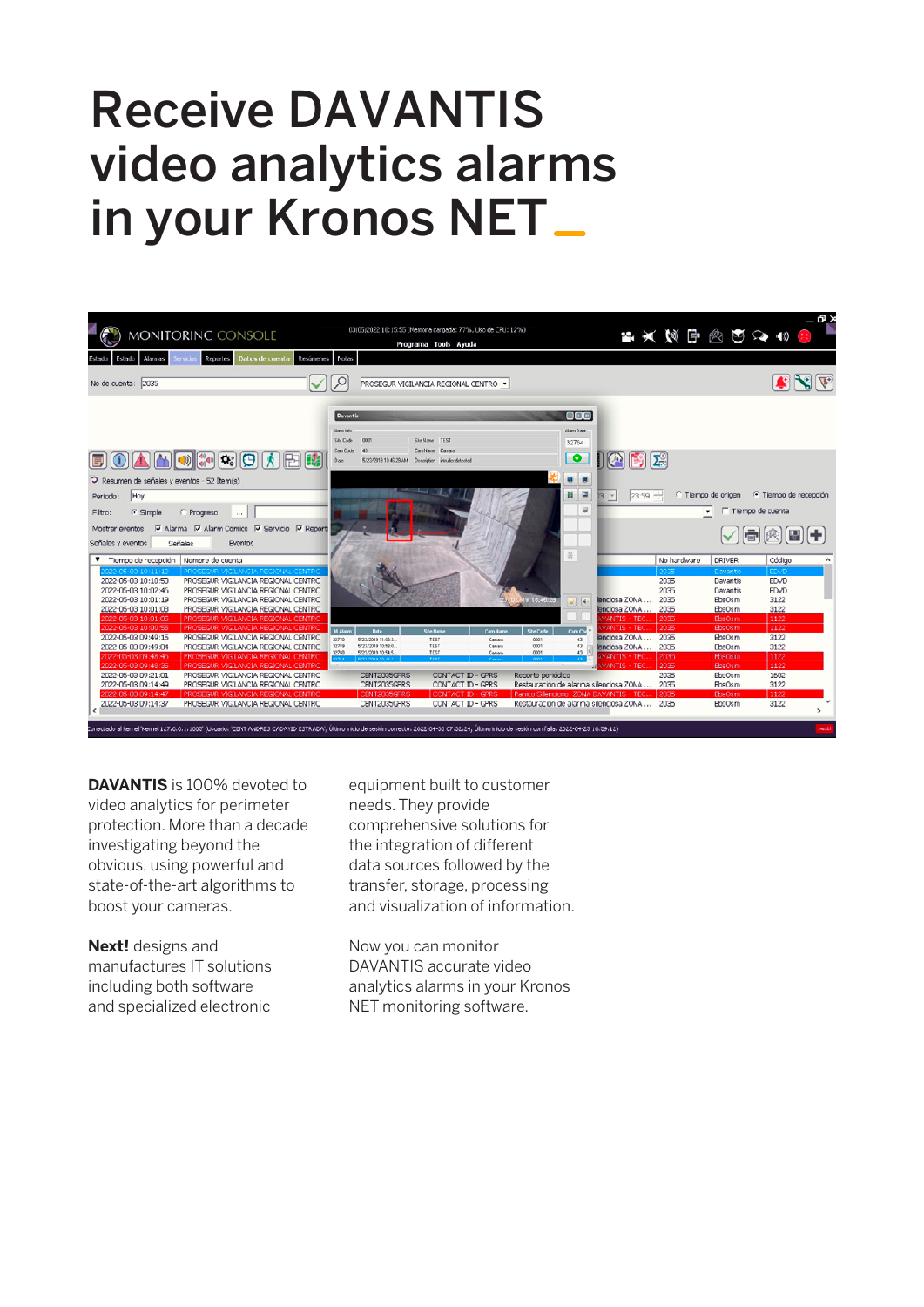## Receive DAVANTIS video analytics alarms in your Kronos NET



**DAVANTIS** is 100% devoted to video analytics for perimeter protection. More than a decade investigating beyond the obvious, using powerful and state-of-the-art algorithms to boost your cameras.

**Next!** designs and manufactures IT solutions including both software and specialized electronic

equipment built to customer needs. They provide comprehensive solutions for the integration of different data sources followed by the transfer, storage, processing and visualization of information.

Now you can monitor DAVANTIS accurate video analytics alarms in your Kronos NET monitoring software.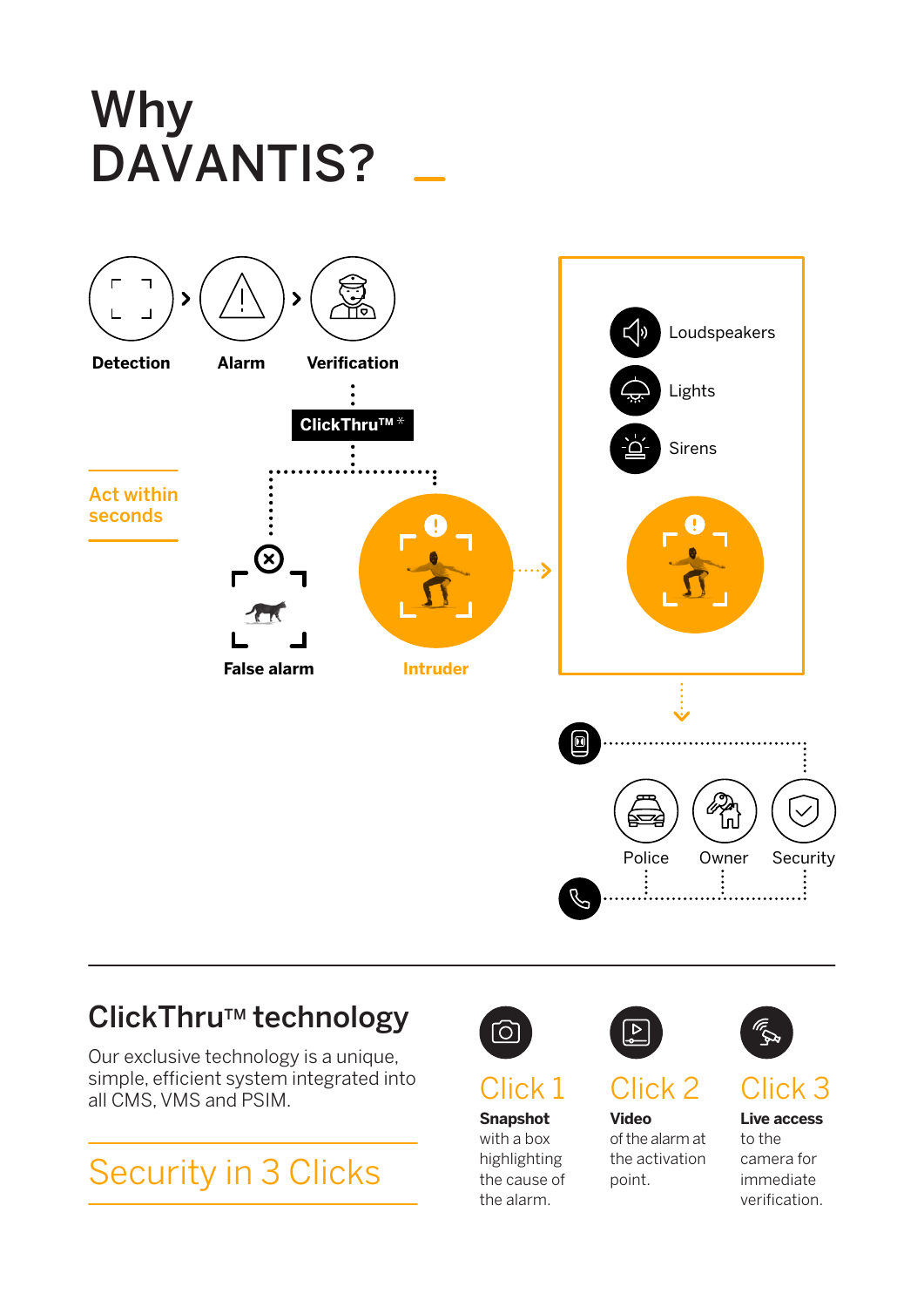# Why DAVANTIS?



#### ClickThru™ technology

Our exclusive technology is a unique, simple, efficient system integrated into all CMS, VMS and PSIM.

## Security in 3 Clicks



## Click 1

#### **Snapshot**

with a box highlighting the cause of the alarm.



## Click 2

**Video** of the alarm at the activation point.



### Click 3

**Live access**  to the camera for immediate verification.